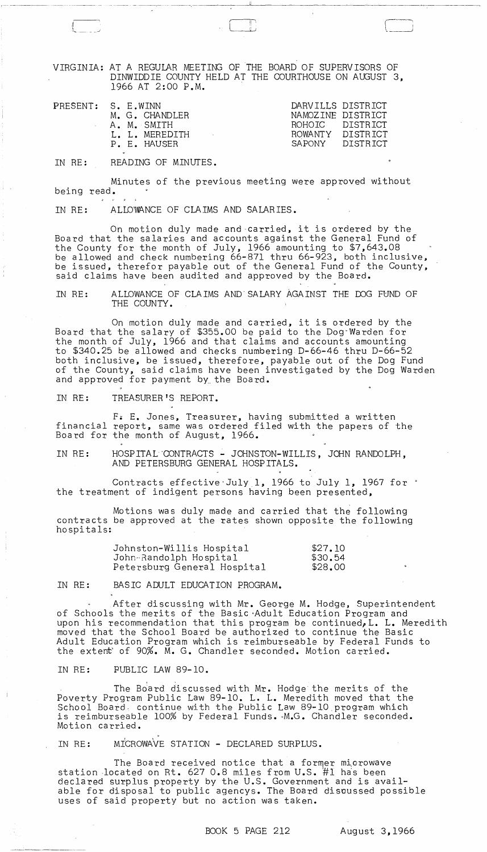VIRGINIA: AT A REGULAR MEETING OF THE BOARD OF SUPERVISORS OF DINWIDDIE COUNTY HELD AT THE COURTHOUSE ON AUGUST 3, 1966 AT 2:00 P.M.

 $\mathfrak{u}$  "

--------

| PRESENT: S. E.WINN | M. G. CHANDLER<br>A. M. SMITH<br>L. L. MEREDITH | DARVILLS DISTRICT<br>NAMOZINE DISTRICT<br>ROHOTC DISTRICT<br>ROWANTY DISTRICT |  |
|--------------------|-------------------------------------------------|-------------------------------------------------------------------------------|--|
|                    | P. E. HAUSER                                    | SAPONY DISTRICT                                                               |  |

IN RE: READING OF MINUTES.

,{ " ,

-' .... ---- - ~-~

Minutes of the previous meeting were approved without being read.

IN RE: ALLD'WANCE OF CLAIMS AND SALAR IES.

On motion duly made and carried, it is ordered by the Board that the salaries and accounts against the General Fund of the County for the month of July, 1966 amounting to \$7,643.08 be allowed and check numbering 66-871 thru 66-923, both inclusive, be issued, therefor payable out of the General Fund of the County, said claims have been audited and approved by the Board.

IN RE: ALLOWANCE OF CLAIMS AND' SALARY AGAINST THE DOG FUND OF THE COUNTY.

On motion duly made and carried, it is ordered by the Board that the salary of \$355.00 be paid to the Dog"Warden for the month of July, 1966 and that claims and accounts amounting to \$340.25 be allowed and checks numbering D-66-46 thru D-66-52 both inclusive, be issued, therefore, payable out of the Dog Fund of the County, said claims have been investigated by the Dog Warden and approved for payment by. the Board.

IN RE: TREASURER'S REPORT.

F. E. Jones, Treasurer, having submitted a written financial report, same was ordered filed with the papers of the Board for the month of August, 1966.

IN RE: HOSPITAL CONTRACTS - JOHNSTON-WILLIS, JOHN RANDOLPH, AND PETERSBURG GENERAL HOSPITALS.

Contracts effective July 1, 1966 to July 1, 1967 for  $\cdot$ the treatment of indigent persons having been presented,

Motions was duly made and carried that the following contracts be approved at the rates shown opposite the following hospitals:

| Johnston-Willis Hospital    | \$27.10 |
|-----------------------------|---------|
| John-Randolph Hospital      | \$30.54 |
| Petersburg General Hospital | \$28,00 |

IN RE: BASIC ADULT EDUCATION PROGRAM.

After discussing with Mr. George M. Hodge, Superintendent of Schools the merits of the Basic -Adult Education Program and upon his recommendation that this program be continued, L. L. Meredith moved that the School Board be authorized to continue the Basic Adult Education Program which is reimburseable by Federal Funds to the extent' of 90%. M. G. Chandler seconded. Motion ca rried.

IN RE: PUBLIC LAW 89-10.

The Board discussed with Mr. Hodge the merits of the Poverty Program Public Law 89-10. L. L. Meredith moved that the School Board, continue with the Public Law 89-10.program which is reimburseable 100% by Federal Funds. M.G. Chandler seconded. Motion carried.

IN RE: MICROWAVE STATION - DECLARED SURPLUS.

The Board received notice that a former microwave station located on Rt.  $627$  0.8 miles from U.S.  $#1$  has been declared surplus property by the U.S. Government and is available for disposal to public agencys. The Board discussed possible uses of said property but no action was taken.

BOOK 5 PAGE 212 August 3,1966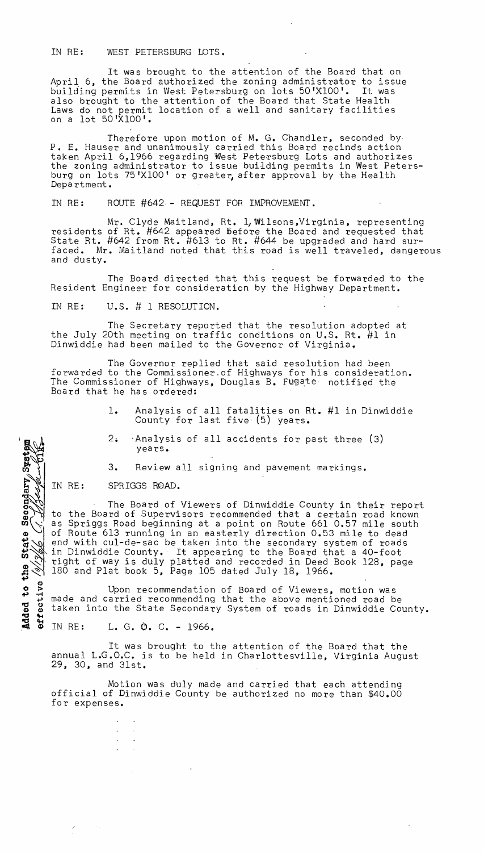IN RE: WEST PETERSBURG LOTS.

It was brought to the attention of the Board that on April 6, the Board authorized the zoning administrator to issue building permits in West Petersburg on lots 50'XIOO'. It was also brought to the attention of the Board that State Health Laws do not permit location of a well and sanitary facilities on a lot 50'XIOO'.

Therefore upon motion of M. G. Chandler, seconded by· P. E. Hauser and unanimously carried this Board recinds action taken April 6,1966 regarding West Petersburg Lots and authorizes the zoning administrator to issue building permits in West Petersburg on lots 75'X100' or greater, after approval by the Health Depa rtment.

IN RE: ROUTE #642 - REQUEST FOR IMPROVEMENT.

Mr. Clyde Maitland, Rt. 1, Wilsons, Virginia, representing residents of Rt. #642 appeared before the Board and requested that State Rt.  $#642$  from Rt.  $#613$  to Rt.  $#644$  be upgraded and hard surfaced. Mr. Maitland noted that this road is well traveled, dangerous and dusty.

The Board directed that this request be forwarded to the Resident Engineer for consideration by the Highway Department.

IN RE: U.S. # 1 RESOLUTION.

The Secretary reported that the resolution adopted at the July 20th meeting on traffic conditions on U.S. Rt. #1 in Dinwiddie had been mailed to the Governor of Virginia.

The Governor replied that said resolution had been forwarded to the Commissioner,of Highways for his consideration. The Commissioner of Highways, Douglas B. Fugate notified the Board that he has ordered:

- 1. Analysis of all fatalities on Rt. #1 in Dinwiddie County for last five' (5) years.
- 2. 'Analysis of all accidents for past three (3) yea rs.

3. Review all signing and pavement markings.

IN RE: SPRIGGS ROAD.

Added to the State Secondary System  $\mathcal{C}$ 

191.3161

errective

The Board of Viewers of Dinwiddie County in their report to the Board of Supervisors recommended that a certain road known as Spriggs Road beginning at a point on Route 661 0.57 mile south of Route 613 running in an easterly direction 0.53 mile to dead end with cul-de-sac be taken into the secondary system of roads in Dinwiddie County. It appearing to the Board that a 40-foot right of way is duly platted and recorded in Deed Book 128, page 180 and Plat book 5, Page 105 dated July 18, 1966.

Upon recommendation of Board of Viewers, motion was made and carried recommending that the above mentioned road be taken into the State Secondary System of roads in Dinwiddie County.

IN RE: L. G. O. C. - 1966.

It was brought to the attention of the Board that the annual L.G.O.C. is to be held in Charlottesville, Virginia August 29, 30, and 31st.

Motion was duly made and carried that each attending official of Dinwiddie County be authorized no more than \$40.00 for expenses.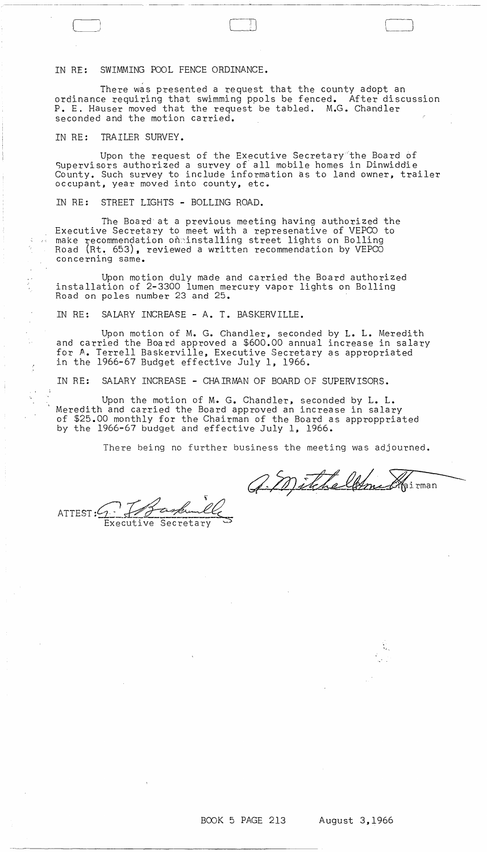IN RE: SWIMMING POOL FENCE ORDINANCE.

There was presented a request that the county adopt an ordinance requiring that swimming ppols be fenced. After discussion P. E. Hauser moved that the request be tabled. M.G. Chandler seconded and the motion carried.

IN RE: TRAILER SURVEY.

Ą.

Upon the request of the Executive Secretary 'the Board *bf*  Supervisors authorized a survey of all mobile homes in Dinwiddie County. Such survey to include information as to land owner, trailer occupant, year moved into county, etc.

IN RE: STREET LIGHTS - BOLLING ROAD.

The Board'at a previous meeting having authorized the Executive Secretary to meet with a represenative of VEPCO to make recommendation on:installing street lights on Bolling Road (Rt. 653), reviewed a written recommendation by VEPCO concerning same.

Upon motion duly made and carried the Board authorized installation of 2-3300 lumen mercury vapor lights on Bolling Road on poles number 23 and 25.

IN RE: SALARY INCREASE - A. T. BASKERVILLE.

Upon motion of M. G. Chandler, seconded by L. L. Meredith and carried the Board approved a \$600.00 annual increase in salary for A. Terrell Baskerville, Executive Secretary as appropriated in the 1966-67 Budget effective July 1, 1966.

IN RE: SALARY INCREASE - CHAIRMAN OF BOARD OF SUPERVISORS.

Upon the motion of M. G. Chandler, seconded by L. L. Meredith and carried the Board approved an increase in salary of \$25.00 monthly for the Chairman of the Board as approppriated by the 1966-67 budget and effective July 1, 1966.

There being no further business the meeting was adjourned.

a Mitcheldme Kairman

ATTEST:  $Q \rightarrow Q$ 

 $\rightarrow$ 

 $\cdot$  .